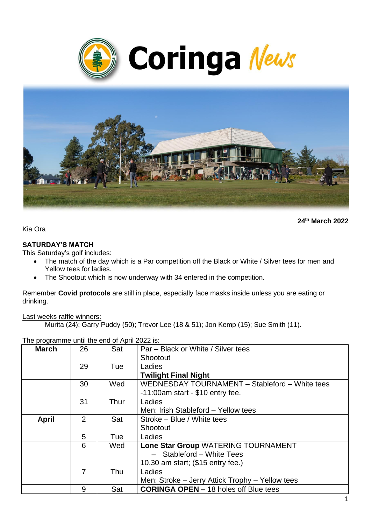



**24th March 2022**

Kia Ora

#### **SATURDAY'S MATCH**

This Saturday's golf includes:

- The match of the day which is a Par competition off the Black or White / Silver tees for men and Yellow tees for ladies.
- The Shootout which is now underway with 34 entered in the competition.

Remember **Covid protocols** are still in place, especially face masks inside unless you are eating or drinking.

#### Last weeks raffle winners:

Murita (24); Garry Puddy (50); Trevor Lee (18 & 51); Jon Kemp (15); Sue Smith (11).

|              | THE programme until the end of April 2022 is. |      |                                                 |  |  |  |
|--------------|-----------------------------------------------|------|-------------------------------------------------|--|--|--|
| <b>March</b> | 26                                            | Sat  | Par – Black or White / Silver tees              |  |  |  |
|              |                                               |      | Shootout                                        |  |  |  |
|              | 29                                            | Tue  | Ladies                                          |  |  |  |
|              |                                               |      | <b>Twilight Final Night</b>                     |  |  |  |
|              | 30                                            | Wed  | WEDNESDAY TOURNAMENT - Stableford - White tees  |  |  |  |
|              |                                               |      | $-11:00$ am start - \$10 entry fee.             |  |  |  |
|              | 31                                            | Thur | Ladies                                          |  |  |  |
|              |                                               |      | Men: Irish Stableford - Yellow tees             |  |  |  |
| <b>April</b> | 2                                             | Sat  | Stroke - Blue / White tees                      |  |  |  |
|              |                                               |      | Shootout                                        |  |  |  |
|              | 5                                             | Tue  | Ladies                                          |  |  |  |
|              | 6                                             | Wed  | Lone Star Group WATERING TOURNAMENT             |  |  |  |
|              |                                               |      | - Stableford - White Tees                       |  |  |  |
|              |                                               |      | 10.30 am start; (\$15 entry fee.)               |  |  |  |
|              | 7                                             | Thu  | Ladies                                          |  |  |  |
|              |                                               |      | Men: Stroke - Jerry Attick Trophy - Yellow tees |  |  |  |
|              | 9                                             | Sat  | <b>CORINGA OPEN - 18 holes off Blue tees</b>    |  |  |  |

The programme until the end of April 2022 is: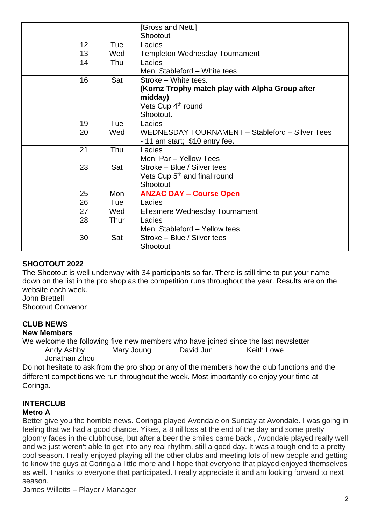|    |      | [Gross and Nett.]<br>Shootout                                                                                                     |
|----|------|-----------------------------------------------------------------------------------------------------------------------------------|
| 12 | Tue  | Ladies                                                                                                                            |
| 13 | Wed  | <b>Templeton Wednesday Tournament</b>                                                                                             |
| 14 | Thu  | Ladies<br>Men: Stableford - White tees                                                                                            |
| 16 | Sat  | Stroke - White tees.<br>(Kornz Trophy match play with Alpha Group after<br>midday)<br>Vets Cup 4 <sup>th</sup> round<br>Shootout. |
| 19 | Tue  | Ladies                                                                                                                            |
| 20 | Wed  | WEDNESDAY TOURNAMENT - Stableford - Silver Tees<br>- 11 am start; \$10 entry fee.                                                 |
| 21 | Thu  | Ladies<br>Men: Par - Yellow Tees                                                                                                  |
| 23 | Sat  | Stroke – Blue / Silver tees<br>Vets Cup 5 <sup>th</sup> and final round<br>Shootout                                               |
| 25 | Mon  | <b>ANZAC DAY - Course Open</b>                                                                                                    |
| 26 | Tue  | Ladies                                                                                                                            |
| 27 | Wed  | <b>Ellesmere Wednesday Tournament</b>                                                                                             |
| 28 | Thur | Ladies<br>Men: Stableford - Yellow tees                                                                                           |
| 30 | Sat  | Stroke - Blue / Silver tees<br>Shootout                                                                                           |

## **SHOOTOUT 2022**

The Shootout is well underway with 34 participants so far. There is still time to put your name down on the list in the pro shop as the competition runs throughout the year. Results are on the website each week.

John Brettell Shootout Convenor

#### **CLUB NEWS**

#### **New Members**

We welcome the following five new members who have joined since the last newsletter Andy Ashby Mary Joung David Jun Keith Lowe Jonathan Zhou

Do not hesitate to ask from the pro shop or any of the members how the club functions and the different competitions we run throughout the week. Most importantly do enjoy your time at Coringa.

# **INTERCLUB**

#### **Metro A**

Better give you the horrible news. Coringa played Avondale on Sunday at Avondale. I was going in feeling that we had a good chance. Yikes, a 8 nil loss at the end of the day and some pretty gloomy faces in the clubhouse, but after a beer the smiles came back , Avondale played really well and we just weren't able to get into any real rhythm, still a good day. It was a tough end to a pretty cool season. I really enjoyed playing all the other clubs and meeting lots of new people and getting to know the guys at Coringa a little more and I hope that everyone that played enjoyed themselves as well. Thanks to everyone that participated. I really appreciate it and am looking forward to next season.

James Willetts – Player / Manager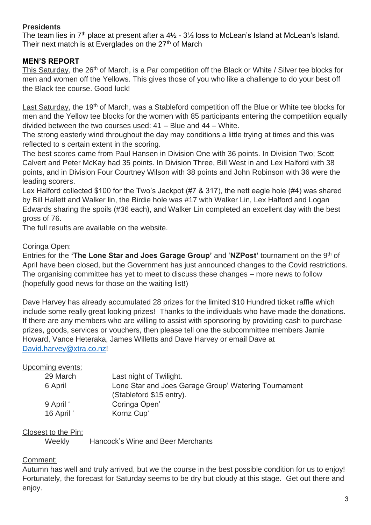## **Presidents**

The team lies in  $7<sup>th</sup>$  place at present after a  $4\frac{1}{2}$  -  $3\frac{1}{2}$  loss to McLean's Island at McLean's Island. Their next match is at Everglades on the  $27<sup>th</sup>$  of March

## **MEN'S REPORT**

This Saturday, the 26<sup>th</sup> of March, is a Par competition off the Black or White / Silver tee blocks for men and women off the Yellows. This gives those of you who like a challenge to do your best off the Black tee course. Good luck!

Last Saturday, the 19<sup>th</sup> of March, was a Stableford competition off the Blue or White tee blocks for men and the Yellow tee blocks for the women with 85 participants entering the competition equally divided between the two courses used: 41 – Blue and 44 – White.

The strong easterly wind throughout the day may conditions a little trying at times and this was reflected to s certain extent in the scoring.

The best scores came from Paul Hansen in Division One with 36 points. In Division Two; Scott Calvert and Peter McKay had 35 points. In Division Three, Bill West in and Lex Halford with 38 points, and in Division Four Courtney Wilson with 38 points and John Robinson with 36 were the leading scorers.

Lex Halford collected \$100 for the Two's Jackpot (#7 & 317), the nett eagle hole (#4) was shared by Bill Hallett and Walker lin, the Birdie hole was #17 with Walker Lin, Lex Halford and Logan Edwards sharing the spoils (#36 each), and Walker Lin completed an excellent day with the best gross of 76.

The full results are available on the website.

#### Coringa Open:

Entries for the **'The Lone Star and Joes Garage Group'** and '**NZPost'** tournament on the 9th of April have been closed, but the Government has just announced changes to the Covid restrictions. The organising committee has yet to meet to discuss these changes – more news to follow (hopefully good news for those on the waiting list!)

Dave Harvey has already accumulated 28 prizes for the limited \$10 Hundred ticket raffle which include some really great looking prizes! Thanks to the individuals who have made the donations. If there are any members who are willing to assist with sponsoring by providing cash to purchase prizes, goods, services or vouchers, then please tell one the subcommittee members Jamie Howard, Vance Heteraka, James Willetts and Dave Harvey or email Dave at [David.harvey@xtra.co.nz!](mailto:David.harvey@xtra.co.nz)

#### Upcoming events:

| 29 March   | Last night of Twilight.                              |
|------------|------------------------------------------------------|
| 6 April    | Lone Star and Joes Garage Group' Watering Tournament |
|            | (Stableford \$15 entry).                             |
| 9 April '  | Coringa Open'                                        |
| 16 April ' | Kornz Cup'                                           |

#### Closest to the Pin:

Weekly Hancock's Wine and Beer Merchants

#### Comment:

Autumn has well and truly arrived, but we the course in the best possible condition for us to enjoy! Fortunately, the forecast for Saturday seems to be dry but cloudy at this stage. Get out there and enjoy.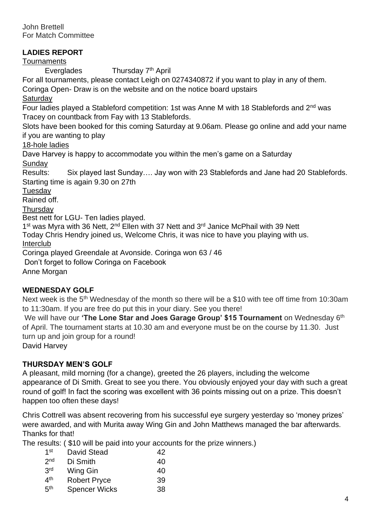John Brettell For Match Committee

### **LADIES REPORT**

**Tournaments** 

Everglades Thursday 7<sup>th</sup> April

For all tournaments, please contact Leigh on 0274340872 if you want to play in any of them.

Coringa Open- Draw is on the website and on the notice board upstairs

**Saturday** 

Four ladies played a Stableford competition: 1st was Anne M with 18 Stablefords and 2<sup>nd</sup> was Tracey on countback from Fay with 13 Stablefords.

Slots have been booked for this coming Saturday at 9.06am. Please go online and add your name if you are wanting to play

18-hole ladies

Dave Harvey is happy to accommodate you within the men's game on a Saturday Sunday

Results: Six played last Sunday…. Jay won with 23 Stablefords and Jane had 20 Stablefords. Starting time is again 9.30 on 27th

**Tuesday** 

Rained off.

**Thursdav** 

Best nett for LGU- Ten ladies played.

1<sup>st</sup> was Myra with 36 Nett, 2<sup>nd</sup> Ellen with 37 Nett and 3<sup>rd</sup> Janice McPhail with 39 Nett

Today Chris Hendry joined us, Welcome Chris, it was nice to have you playing with us. Interclub

Coringa played Greendale at Avonside. Coringa won 63 / 46

Don't forget to follow Coringa on Facebook

Anne Morgan

#### **WEDNESDAY GOLF**

Next week is the 5<sup>th</sup> Wednesday of the month so there will be a \$10 with tee off time from 10:30am to 11:30am. If you are free do put this in your diary. See you there!

We will have our **'The Lone Star and Joes Garage Group' \$15 Tournament** on Wednesday 6th of April. The tournament starts at 10.30 am and everyone must be on the course by 11.30. Just turn up and join group for a round!

David Harvey

#### **THURSDAY MEN'S GOLF**

A pleasant, mild morning (for a change), greeted the 26 players, including the welcome appearance of Di Smith. Great to see you there. You obviously enjoyed your day with such a great round of golf! In fact the scoring was excellent with 36 points missing out on a prize. This doesn't happen too often these days!

Chris Cottrell was absent recovering from his successful eye surgery yesterday so 'money prizes' were awarded, and with Murita away Wing Gin and John Matthews managed the bar afterwards. Thanks for that!

The results: ( \$10 will be paid into your accounts for the prize winners.)

| 1 <sup>st</sup> | David Stead          | 42 |
|-----------------|----------------------|----|
| 2 <sub>nd</sub> | Di Smith             | 40 |
| 3rd             | Wing Gin             | 40 |
| 4 <sup>th</sup> | <b>Robert Pryce</b>  | 39 |
| 5 <sup>th</sup> | <b>Spencer Wicks</b> | 38 |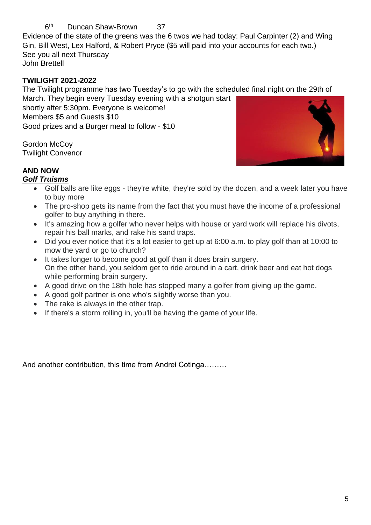#### $6<sup>th</sup>$ Duncan Shaw-Brown 37

Evidence of the state of the greens was the 6 twos we had today: Paul Carpinter (2) and Wing Gin, Bill West, Lex Halford, & Robert Pryce (\$5 will paid into your accounts for each two.) See you all next Thursday John Brettell

# **TWILIGHT 2021-2022**

The Twilight programme has two Tuesday's to go with the scheduled final night on the 29th of

March. They begin every Tuesday evening with a shotgun start shortly after 5:30pm. Everyone is welcome! Members \$5 and Guests \$10

Good prizes and a Burger meal to follow - \$10

Gordon McCov Twilight Convenor



# **AND NOW**

## *Golf Truisms*

- Golf balls are like eggs they're white, they're sold by the dozen, and a week later you have to buy more
- The pro-shop gets its name from the fact that you must have the income of a professional golfer to buy anything in there.
- It's amazing how a golfer who never helps with house or vard work will replace his divots, repair his ball marks, and rake his sand traps.
- Did you ever notice that it's a lot easier to get up at 6:00 a.m. to play golf than at 10:00 to mow the yard or go to church?
- It takes longer to become good at golf than it does brain surgery. On the other hand, you seldom get to ride around in a cart, drink beer and eat hot dogs while performing brain surgery.
- A good drive on the 18th hole has stopped many a golfer from giving up the game.
- A good golf partner is one who's slightly worse than you.
- The rake is always in the other trap.
- If there's a storm rolling in, you'll be having the game of your life.

And another contribution, this time from Andrei Cotinga………